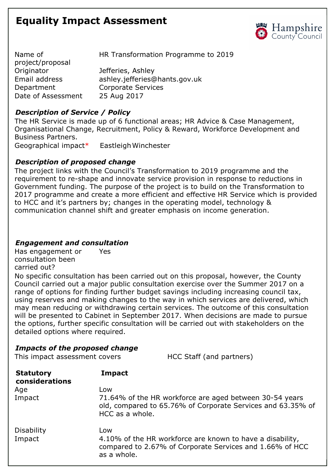# **Equality Impact Assessment**



| Name of            | HR Transformation Programme to 2019 |
|--------------------|-------------------------------------|
| project/proposal   |                                     |
| Originator         | Jefferies, Ashley                   |
| Email address      | ashley.jefferies@hants.gov.uk       |
| Department         | <b>Corporate Services</b>           |
| Date of Assessment | 25 Aug 2017                         |

## *Description of Service / Policy*

The HR Service is made up of 6 functional areas; HR Advice & Case Management, Organisational Change, Recruitment, Policy & Reward, Workforce Development and Business Partners. Geographical impact\* EastleighWinchester

## *Description of proposed change*

The project links with the Council's Transformation to 2019 programme and the requirement to re-shape and innovate service provision in response to reductions in Government funding. The purpose of the project is to build on the Transformation to 2017 programme and create a more efficient and effective HR Service which is provided to HCC and it's partners by; changes in the operating model, technology & communication channel shift and greater emphasis on income generation.

### *Engagement and consultation*

Has engagement or Yes consultation been carried out?

No specific consultation has been carried out on this proposal, however, the County Council carried out a major public consultation exercise over the Summer 2017 on a range of options for finding further budget savings including increasing council tax, using reserves and making changes to the way in which services are delivered, which may mean reducing or withdrawing certain services. The outcome of this consultation will be presented to Cabinet in September 2017. When decisions are made to pursue the options, further specific consultation will be carried out with stakeholders on the detailed options where required.

### *Impacts of the proposed change*

This impact assessment covers HCC Staff (and partners) **Statutory considerations Impact** Age Low Impact 71.64% of the HR workforce are aged between 30-54 years old, compared to 65.76% of Corporate Services and 63.35% of HCC as a whole. Disability Low Impact 4.10% of the HR workforce are known to have a disability, compared to 2.67% of Corporate Services and 1.66% of HCC as a whole.